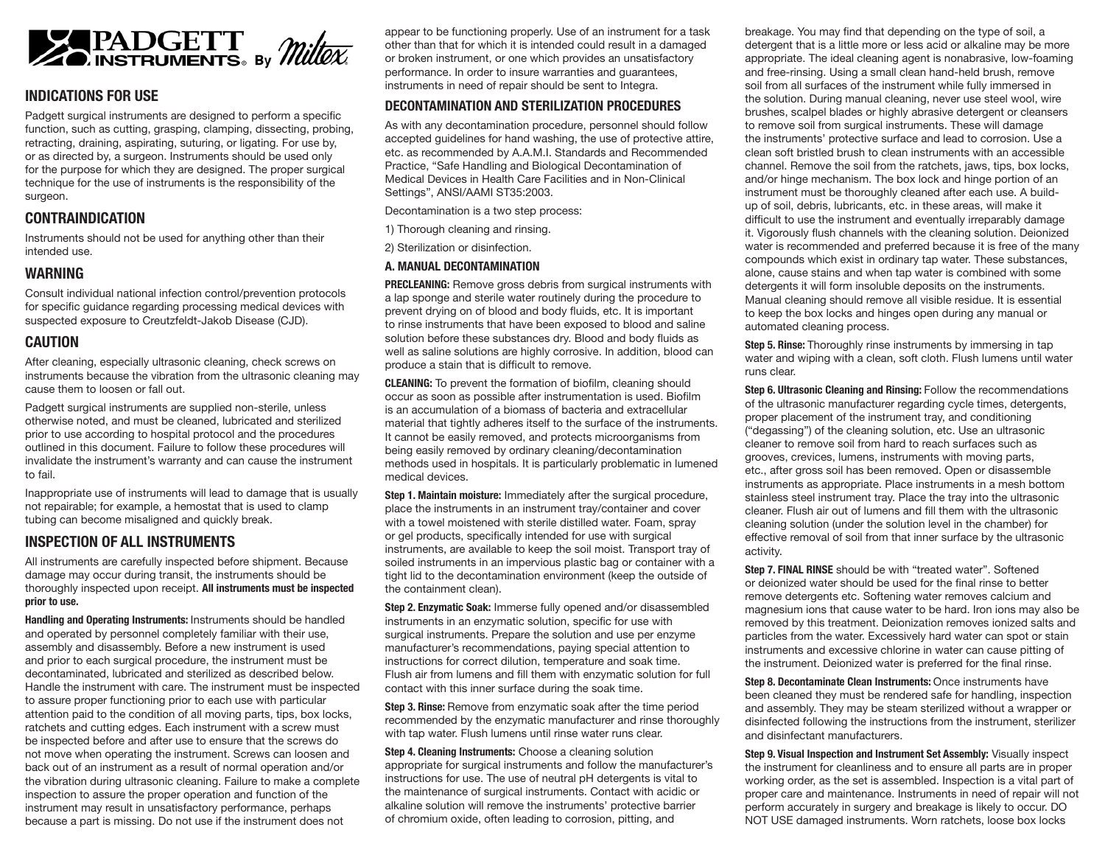

### **INDICATIONS FOR USE**

Padgett surgical instruments are designed to perform a specific function, such as cutting, grasping, clamping, dissecting, probing, retracting, draining, aspirating, suturing, or ligating. For use by, or as directed by, a surgeon. Instruments should be used only for the purpose for which they are designed. The proper surgical technique for the use of instruments is the responsibility of the surgeon.

### **CONTRAINDICATION**

Instruments should not be used for anything other than their intended use.

### **WARNING**

Consult individual national infection control/prevention protocols for specific guidance regarding processing medical devices with suspected exposure to Creutzfeldt-Jakob Disease (CJD).

# **CAUTION**

After cleaning, especially ultrasonic cleaning, check screws on instruments because the vibration from the ultrasonic cleaning may cause them to loosen or fall out.

Padgett surgical instruments are supplied non-sterile, unless otherwise noted, and must be cleaned, lubricated and sterilized prior to use according to hospital protocol and the procedures outlined in this document. Failure to follow these procedures will invalidate the instrument's warranty and can cause the instrument to fail.

Inappropriate use of instruments will lead to damage that is usually not repairable; for example, a hemostat that is used to clamp tubing can become misaligned and quickly break.

# **INSPECTION OF ALL INSTRUMENTS**

All instruments are carefully inspected before shipment. Because damage may occur during transit, the instruments should be thoroughly inspected upon receipt. **All instruments must be inspected prior to use.**

**Handling and Operating Instruments:** Instruments should be handled and operated by personnel completely familiar with their use, assembly and disassembly. Before a new instrument is used and prior to each surgical procedure, the instrument must be decontaminated, lubricated and sterilized as described below. Handle the instrument with care. The instrument must be inspected to assure proper functioning prior to each use with particular attention paid to the condition of all moving parts, tips, box locks, ratchets and cutting edges. Each instrument with a screw must be inspected before and after use to ensure that the screws do not move when operating the instrument. Screws can loosen and back out of an instrument as a result of normal operation and/or the vibration during ultrasonic cleaning. Failure to make a complete inspection to assure the proper operation and function of the instrument may result in unsatisfactory performance, perhaps because a part is missing. Do not use if the instrument does not

appear to be functioning properly. Use of an instrument for a task other than that for which it is intended could result in a damaged or broken instrument, or one which provides an unsatisfactory performance. In order to insure warranties and guarantees, instruments in need of repair should be sent to Integra.

### **DECONTAMINATION AND STERILIZATION PROCEDURES**

As with any decontamination procedure, personnel should follow accepted guidelines for hand washing, the use of protective attire, etc. as recommended by A.A.M.I. Standards and Recommended Practice, "Safe Handling and Biological Decontamination of Medical Devices in Health Care Facilities and in Non-Clinical Settings", ANSI/AAMI ST35:2003.

Decontamination is a two step process:

1) Thorough cleaning and rinsing.

2) Sterilization or disinfection.

# **A. MANUAL DECONTAMINATION**

**PRECLEANING:** Remove gross debris from surgical instruments with a lap sponge and sterile water routinely during the procedure to prevent drying on of blood and body fluids, etc. It is important to rinse instruments that have been exposed to blood and saline solution before these substances dry. Blood and body fluids as well as saline solutions are highly corrosive. In addition, blood can produce a stain that is difficult to remove.

**CLEANING:** To prevent the formation of biofilm, cleaning should occur as soon as possible after instrumentation is used. Biofilm is an accumulation of a biomass of bacteria and extracellular material that tightly adheres itself to the surface of the instruments. It cannot be easily removed, and protects microorganisms from being easily removed by ordinary cleaning/decontamination methods used in hospitals. It is particularly problematic in lumened medical devices.

**Step 1. Maintain moisture:** Immediately after the surgical procedure, place the instruments in an instrument tray/container and cover with a towel moistened with sterile distilled water. Foam, spray or gel products, specifically intended for use with surgical instruments, are available to keep the soil moist. Transport tray of soiled instruments in an impervious plastic bag or container with a tight lid to the decontamination environment (keep the outside of the containment clean).

**Step 2. Enzymatic Soak:** Immerse fully opened and/or disassembled instruments in an enzymatic solution, specific for use with surgical instruments. Prepare the solution and use per enzyme manufacturer's recommendations, paying special attention to instructions for correct dilution, temperature and soak time. Flush air from lumens and fill them with enzymatic solution for full contact with this inner surface during the soak time.

**Step 3. Rinse:** Remove from enzymatic soak after the time period recommended by the enzymatic manufacturer and rinse thoroughly with tap water. Flush lumens until rinse water runs clear.

**Step 4. Cleaning Instruments:** Choose a cleaning solution appropriate for surgical instruments and follow the manufacturer's instructions for use. The use of neutral pH detergents is vital to the maintenance of surgical instruments. Contact with acidic or alkaline solution will remove the instruments' protective barrier of chromium oxide, often leading to corrosion, pitting, and

breakage. You may find that depending on the type of soil, a detergent that is a little more or less acid or alkaline may be more appropriate. The ideal cleaning agent is nonabrasive, low-foaming and free-rinsing. Using a small clean hand-held brush, remove soil from all surfaces of the instrument while fully immersed in the solution. During manual cleaning, never use steel wool, wire brushes, scalpel blades or highly abrasive detergent or cleansers to remove soil from surgical instruments. These will damage the instruments' protective surface and lead to corrosion. Use a clean soft bristled brush to clean instruments with an accessible channel. Remove the soil from the ratchets, jaws, tips, box locks, and/or hinge mechanism. The box lock and hinge portion of an instrument must be thoroughly cleaned after each use. A buildup of soil, debris, lubricants, etc. in these areas, will make it difficult to use the instrument and eventually irreparably damage it. Vigorously flush channels with the cleaning solution. Deionized water is recommended and preferred because it is free of the many compounds which exist in ordinary tap water. These substances, alone, cause stains and when tap water is combined with some detergents it will form insoluble deposits on the instruments. Manual cleaning should remove all visible residue. It is essential to keep the box locks and hinges open during any manual or automated cleaning process.

**Step 5. Rinse:** Thoroughly rinse instruments by immersing in tap water and wiping with a clean, soft cloth. Flush lumens until water runs clear.

**Step 6. Ultrasonic Cleaning and Rinsing:** Follow the recommendations of the ultrasonic manufacturer regarding cycle times, detergents, proper placement of the instrument tray, and conditioning ("degassing") of the cleaning solution, etc. Use an ultrasonic cleaner to remove soil from hard to reach surfaces such as grooves, crevices, lumens, instruments with moving parts, etc., after gross soil has been removed. Open or disassemble instruments as appropriate. Place instruments in a mesh bottom stainless steel instrument tray. Place the tray into the ultrasonic cleaner. Flush air out of lumens and fill them with the ultrasonic cleaning solution (under the solution level in the chamber) for effective removal of soil from that inner surface by the ultrasonic activity.

**Step 7. FINAL RINSE** should be with "treated water". Softened or deionized water should be used for the final rinse to better remove detergents etc. Softening water removes calcium and magnesium ions that cause water to be hard. Iron ions may also be removed by this treatment. Deionization removes ionized salts and particles from the water. Excessively hard water can spot or stain instruments and excessive chlorine in water can cause pitting of the instrument. Deionized water is preferred for the final rinse.

**Step 8. Decontaminate Clean Instruments:** Once instruments have been cleaned they must be rendered safe for handling, inspection and assembly. They may be steam sterilized without a wrapper or disinfected following the instructions from the instrument, sterilizer and disinfectant manufacturers.

**Step 9. Visual Inspection and Instrument Set Assembly:** Visually inspect the instrument for cleanliness and to ensure all parts are in proper working order, as the set is assembled. Inspection is a vital part of proper care and maintenance. Instruments in need of repair will not perform accurately in surgery and breakage is likely to occur. DO NOT USE damaged instruments. Worn ratchets, loose box locks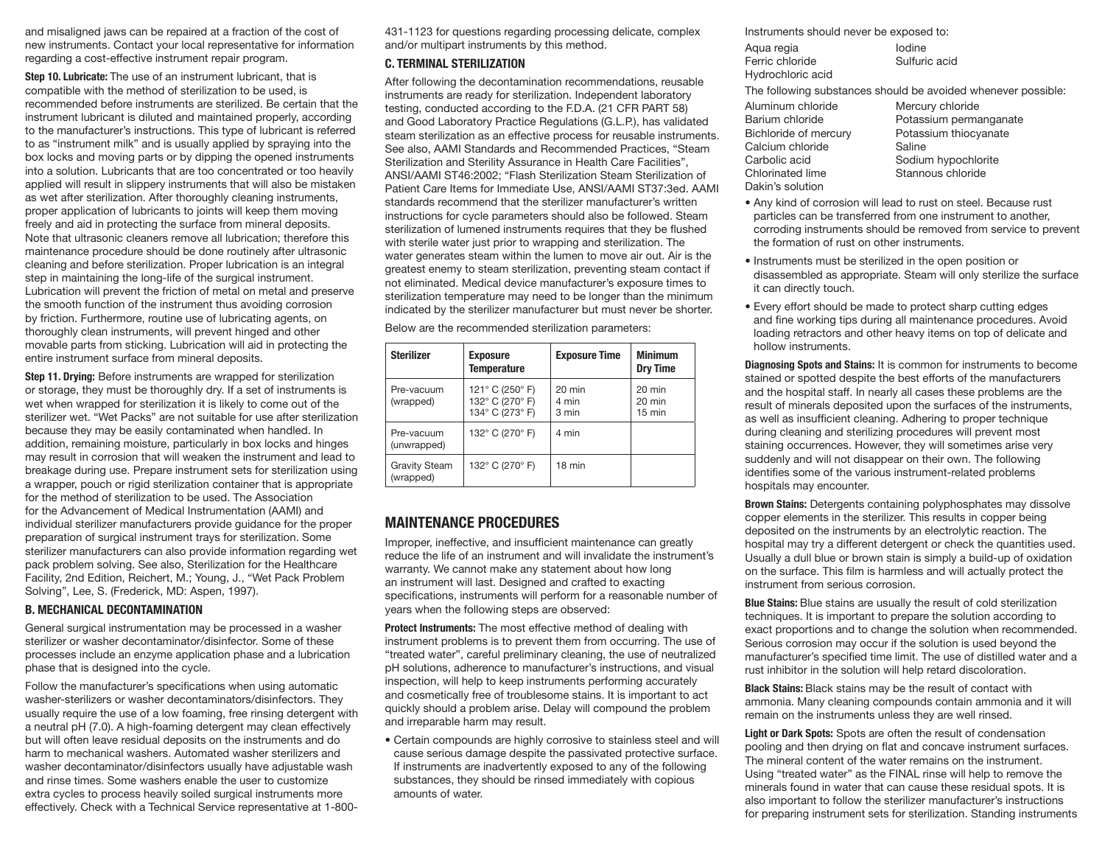and misaligned jaws can be repaired at a fraction of the cost of new instruments. Contact your local representative for information regarding a cost-effective instrument repair program.

**Step 10. Lubricate:** The use of an instrument lubricant, that is compatible with the method of sterilization to be used, is recommended before instruments are sterilized. Be certain that the instrument lubricant is diluted and maintained properly, according to the manufacturer's instructions. This type of lubricant is referred to as "instrument milk" and is usually applied by spraying into the box locks and moving parts or by dipping the opened instruments into a solution. Lubricants that are too concentrated or too heavily applied will result in slippery instruments that will also be mistaken as wet after sterilization. After thoroughly cleaning instruments, proper application of lubricants to joints will keep them moving freely and aid in protecting the surface from mineral deposits. Note that ultrasonic cleaners remove all lubrication; therefore this maintenance procedure should be done routinely after ultrasonic cleaning and before sterilization. Proper lubrication is an integral step in maintaining the long-life of the surgical instrument. Lubrication will prevent the friction of metal on metal and preserve the smooth function of the instrument thus avoiding corrosion by friction. Furthermore, routine use of lubricating agents, on thoroughly clean instruments, will prevent hinged and other movable parts from sticking. Lubrication will aid in protecting the entire instrument surface from mineral deposits.

**Step 11. Drying:** Before instruments are wrapped for sterilization or storage, they must be thoroughly dry. If a set of instruments is wet when wrapped for sterilization it is likely to come out of the sterilizer wet. "Wet Packs" are not suitable for use after sterilization because they may be easily contaminated when handled. In addition, remaining moisture, particularly in box locks and hinges may result in corrosion that will weaken the instrument and lead to breakage during use. Prepare instrument sets for sterilization using a wrapper, pouch or rigid sterilization container that is appropriate for the method of sterilization to be used. The Association for the Advancement of Medical Instrumentation (AAMI) and individual sterilizer manufacturers provide guidance for the proper preparation of surgical instrument trays for sterilization. Some sterilizer manufacturers can also provide information regarding wet pack problem solving. See also, Sterilization for the Healthcare Facility, 2nd Edition, Reichert, M.; Young, J., "Wet Pack Problem Solving", Lee, S. (Frederick, MD: Aspen, 1997).

#### **B. MECHANICAL DECONTAMINATION**

General surgical instrumentation may be processed in a washer sterilizer or washer decontaminator/disinfector. Some of these processes include an enzyme application phase and a lubrication phase that is designed into the cycle.

Follow the manufacturer's specifications when using automatic washer-sterilizers or washer decontaminators/disinfectors. They usually require the use of a low foaming, free rinsing detergent with a neutral pH (7.0). A high-foaming detergent may clean effectively but will often leave residual deposits on the instruments and do harm to mechanical washers. Automated washer sterilizers and washer decontaminator/disinfectors usually have adjustable wash and rinse times. Some washers enable the user to customize extra cycles to process heavily soiled surgical instruments more effectively. Check with a Technical Service representative at 1-800431-1123 for questions regarding processing delicate, complex and/or multipart instruments by this method.

#### **C. TERMINAL STERILIZATION**

After following the decontamination recommendations, reusable instruments are ready for sterilization. Independent laboratory testing, conducted according to the F.D.A. (21 CFR PART 58) and Good Laboratory Practice Regulations (G.L.P.), has validated steam sterilization as an effective process for reusable instruments. See also, AAMI Standards and Recommended Practices, "Steam Sterilization and Sterility Assurance in Health Care Facilities", ANSI/AAMI ST46:2002; "Flash Sterilization Steam Sterilization of Patient Care Items for Immediate Use, ANSI/AAMI ST37:3ed. AAMI standards recommend that the sterilizer manufacturer's written instructions for cycle parameters should also be followed. Steam sterilization of lumened instruments requires that they be flushed with sterile water just prior to wrapping and sterilization. The water generates steam within the lumen to move air out. Air is the greatest enemy to steam sterilization, preventing steam contact if not eliminated. Medical device manufacturer's exposure times to sterilization temperature may need to be longer than the minimum indicated by the sterilizer manufacturer but must never be shorter.

Below are the recommended sterilization parameters:

| <b>Sterilizer</b>                 | <b>Exposure</b><br><b>Temperature</b>                 | <b>Exposure Time</b>       | <b>Minimum</b><br><b>Dry Time</b>    |
|-----------------------------------|-------------------------------------------------------|----------------------------|--------------------------------------|
| Pre-vacuum<br>(wrapped)           | 121° C (250° F)<br>132° C (270° F)<br>134° C (273° F) | $20$ min<br>4 min<br>3 min | 20 min<br>20 min<br>$15 \text{ min}$ |
| Pre-vacuum<br>(unwrapped)         | 132° C (270° F)                                       | 4 min                      |                                      |
| <b>Gravity Steam</b><br>(wrapped) | 132° C (270° F)                                       | 18 min                     |                                      |

# **MAINTENANCE PROCEDURES**

Improper, ineffective, and insufficient maintenance can greatly reduce the life of an instrument and will invalidate the instrument's warranty. We cannot make any statement about how long an instrument will last. Designed and crafted to exacting specifications, instruments will perform for a reasonable number of years when the following steps are observed:

**Protect Instruments:** The most effective method of dealing with instrument problems is to prevent them from occurring. The use of "treated water", careful preliminary cleaning, the use of neutralized pH solutions, adherence to manufacturer's instructions, and visual inspection, will help to keep instruments performing accurately and cosmetically free of troublesome stains. It is important to act quickly should a problem arise. Delay will compound the problem and irreparable harm may result.

• Certain compounds are highly corrosive to stainless steel and will cause serious damage despite the passivated protective surface. If instruments are inadvertently exposed to any of the following substances, they should be rinsed immediately with copious amounts of water.

| Instruments should never be exposed to:                       |                        |  |
|---------------------------------------------------------------|------------------------|--|
| Aqua regia                                                    | lodine                 |  |
| Ferric chloride                                               | Sulfuric acid          |  |
| Hydrochloric acid                                             |                        |  |
| The following substances should be avoided whenever possible: |                        |  |
| Aluminum chloride                                             | Mercury chloride       |  |
| Barium chloride                                               | Potassium permanganate |  |
| Bichloride of mercury                                         | Potassium thiocyanate  |  |
| Calcium chloride                                              | Saline                 |  |
| Carbolic acid                                                 | Sodium hypochlorite    |  |
| Chlorinated lime                                              | Stannous chloride      |  |
| Dakin's solution                                              |                        |  |

- Any kind of corrosion will lead to rust on steel. Because rust particles can be transferred from one instrument to another, corroding instruments should be removed from service to prevent the formation of rust on other instruments.
- Instruments must be sterilized in the open position or disassembled as appropriate. Steam will only sterilize the surface it can directly touch.
- Every effort should be made to protect sharp cutting edges and fine working tips during all maintenance procedures. Avoid loading retractors and other heavy items on top of delicate and hollow instruments.

**Diagnosing Spots and Stains:** It is common for instruments to become stained or spotted despite the best efforts of the manufacturers and the hospital staff. In nearly all cases these problems are the result of minerals deposited upon the surfaces of the instruments, as well as insufficient cleaning. Adhering to proper technique during cleaning and sterilizing procedures will prevent most staining occurrences. However, they will sometimes arise very suddenly and will not disappear on their own. The following identifies some of the various instrument-related problems hospitals may encounter.

**Brown Stains:** Detergents containing polyphosphates may dissolve copper elements in the sterilizer. This results in copper being deposited on the instruments by an electrolytic reaction. The hospital may try a different detergent or check the quantities used. Usually a dull blue or brown stain is simply a build-up of oxidation on the surface. This film is harmless and will actually protect the instrument from serious corrosion.

**Blue Stains:** Blue stains are usually the result of cold sterilization techniques. It is important to prepare the solution according to exact proportions and to change the solution when recommended. Serious corrosion may occur if the solution is used beyond the manufacturer's specified time limit. The use of distilled water and a rust inhibitor in the solution will help retard discoloration.

**Black Stains:** Black stains may be the result of contact with ammonia. Many cleaning compounds contain ammonia and it will remain on the instruments unless they are well rinsed.

**Light or Dark Spots:** Spots are often the result of condensation pooling and then drying on flat and concave instrument surfaces. The mineral content of the water remains on the instrument. Using "treated water" as the FINAL rinse will help to remove the minerals found in water that can cause these residual spots. It is also important to follow the sterilizer manufacturer's instructions for preparing instrument sets for sterilization. Standing instruments